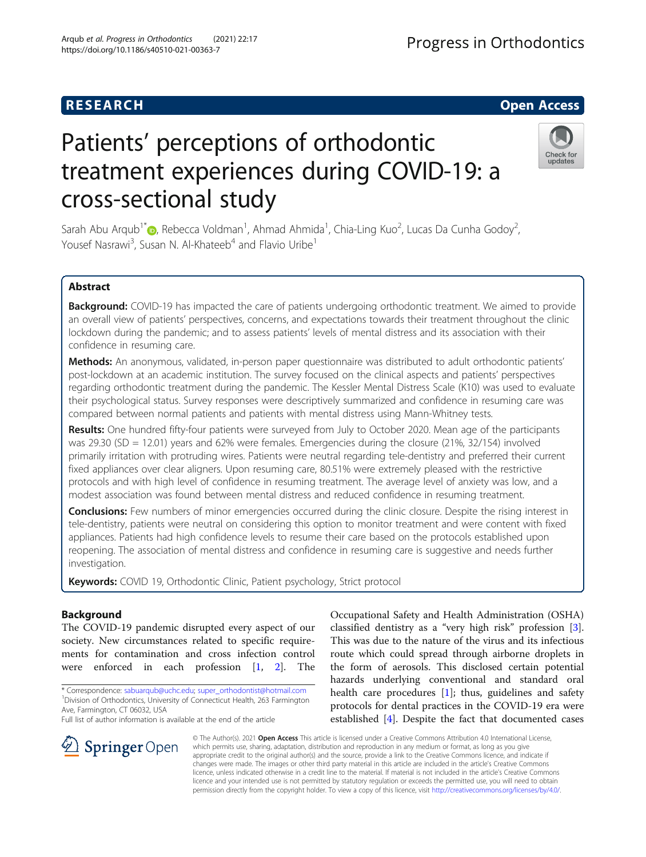# Patients' perceptions of orthodontic treatment experiences during COVID-19: a cross-sectional study

Sarah Abu Arqub<sup>1\*</sup> $\textcircled{\tiny D}$ , Rebecca Voldman<sup>1</sup>, Ahmad Ahmida<sup>1</sup>, Chia-Ling Kuo<sup>2</sup>, Lucas Da Cunha Godoy<sup>2</sup> Yousef Nasrawi<sup>3</sup>, Susan N. Al-Khateeb<sup>4</sup> and Flavio Uribe<sup>1</sup>

# Abstract

Background: COVID-19 has impacted the care of patients undergoing orthodontic treatment. We aimed to provide an overall view of patients' perspectives, concerns, and expectations towards their treatment throughout the clinic lockdown during the pandemic; and to assess patients' levels of mental distress and its association with their confidence in resuming care.

Methods: An anonymous, validated, in-person paper questionnaire was distributed to adult orthodontic patients' post-lockdown at an academic institution. The survey focused on the clinical aspects and patients' perspectives regarding orthodontic treatment during the pandemic. The Kessler Mental Distress Scale (K10) was used to evaluate their psychological status. Survey responses were descriptively summarized and confidence in resuming care was compared between normal patients and patients with mental distress using Mann-Whitney tests.

Results: One hundred fifty-four patients were surveyed from July to October 2020. Mean age of the participants was 29.30 (SD = 12.01) years and 62% were females. Emergencies during the closure (21%, 32/154) involved primarily irritation with protruding wires. Patients were neutral regarding tele-dentistry and preferred their current fixed appliances over clear aligners. Upon resuming care, 80.51% were extremely pleased with the restrictive protocols and with high level of confidence in resuming treatment. The average level of anxiety was low, and a modest association was found between mental distress and reduced confidence in resuming treatment.

**Conclusions:** Few numbers of minor emergencies occurred during the clinic closure. Despite the rising interest in tele-dentistry, patients were neutral on considering this option to monitor treatment and were content with fixed appliances. Patients had high confidence levels to resume their care based on the protocols established upon reopening. The association of mental distress and confidence in resuming care is suggestive and needs further investigation.

Keywords: COVID 19, Orthodontic Clinic, Patient psychology, Strict protocol

# Background

The COVID-19 pandemic disrupted every aspect of our society. New circumstances related to specific requirements for contamination and cross infection control were enforced in each profession [[1,](#page-10-0) [2](#page-10-0)]. The

\* Correspondence: [sabuarqub@uchc.edu;](mailto:sabuarqub@uchc.edu) [super\\_orthodontist@hotmail.com](mailto:super_orthodontist@hotmail.com) <sup>1</sup> <sup>1</sup> Division of Orthodontics, University of Connecticut Health, 263 Farmington Ave, Farmington, CT 06032, USA

Full list of author information is available at the end of the article

SpringerOpen

Occupational Safety and Health Administration (OSHA) classified dentistry as a "very high risk" profession [\[3](#page-10-0)]. This was due to the nature of the virus and its infectious route which could spread through airborne droplets in the form of aerosols. This disclosed certain potential hazards underlying conventional and standard oral health care procedures [[1\]](#page-10-0); thus, guidelines and safety protocols for dental practices in the COVID-19 era were established [[4\]](#page-10-0). Despite the fact that documented cases

© The Author(s). 2021 Open Access This article is licensed under a Creative Commons Attribution 4.0 International License, which permits use, sharing, adaptation, distribution and reproduction in any medium or format, as long as you give appropriate credit to the original author(s) and the source, provide a link to the Creative Commons licence, and indicate if changes were made. The images or other third party material in this article are included in the article's Creative Commons licence, unless indicated otherwise in a credit line to the material. If material is not included in the article's Creative Commons licence and your intended use is not permitted by statutory regulation or exceeds the permitted use, you will need to obtain permission directly from the copyright holder. To view a copy of this licence, visit <http://creativecommons.org/licenses/by/4.0/>.







,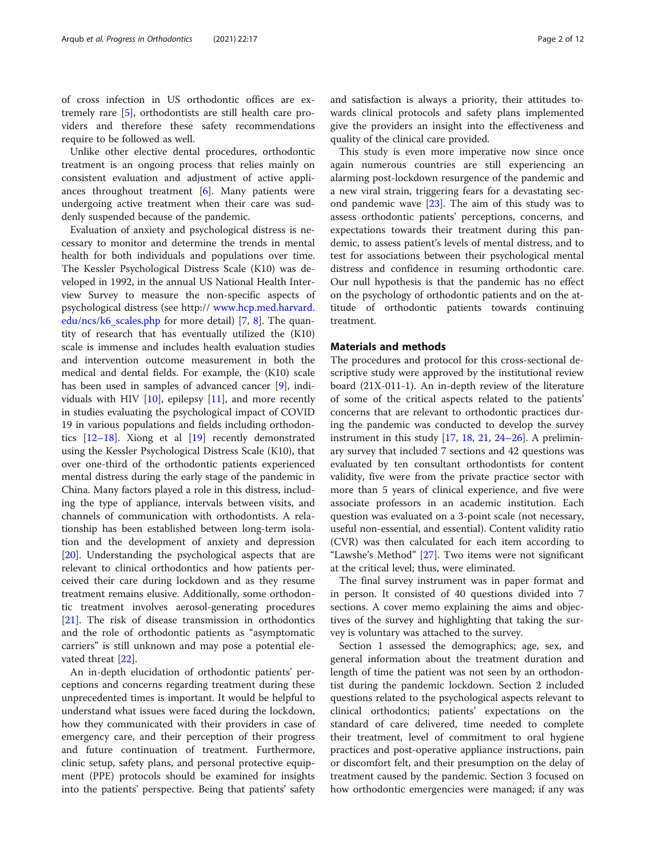of cross infection in US orthodontic offices are extremely rare [[5\]](#page-10-0), orthodontists are still health care providers and therefore these safety recommendations require to be followed as well.

Unlike other elective dental procedures, orthodontic treatment is an ongoing process that relies mainly on consistent evaluation and adjustment of active appliances throughout treatment [\[6\]](#page-10-0). Many patients were undergoing active treatment when their care was suddenly suspended because of the pandemic.

Evaluation of anxiety and psychological distress is necessary to monitor and determine the trends in mental health for both individuals and populations over time. The Kessler Psychological Distress Scale (K10) was developed in 1992, in the annual US National Health Interview Survey to measure the non-specific aspects of psychological distress (see http:// [www.hcp.med.harvard.](http://www.hcp.med.harvard.edu/ncs/k6_scales.php) [edu/ncs/k6\\_scales.php](http://www.hcp.med.harvard.edu/ncs/k6_scales.php) for more detail) [\[7](#page-10-0), [8](#page-10-0)]. The quantity of research that has eventually utilized the (K10) scale is immense and includes health evaluation studies and intervention outcome measurement in both the medical and dental fields. For example, the (K10) scale has been used in samples of advanced cancer [[9\]](#page-10-0), individuals with HIV  $[10]$  $[10]$ , epilepsy  $[11]$  $[11]$  $[11]$ , and more recently in studies evaluating the psychological impact of COVID 19 in various populations and fields including orthodontics [[12](#page-10-0)–[18](#page-10-0)]. Xiong et al [[19\]](#page-10-0) recently demonstrated using the Kessler Psychological Distress Scale (K10), that over one-third of the orthodontic patients experienced mental distress during the early stage of the pandemic in China. Many factors played a role in this distress, including the type of appliance, intervals between visits, and channels of communication with orthodontists. A relationship has been established between long-term isolation and the development of anxiety and depression [[20\]](#page-10-0). Understanding the psychological aspects that are relevant to clinical orthodontics and how patients perceived their care during lockdown and as they resume treatment remains elusive. Additionally, some orthodontic treatment involves aerosol-generating procedures [[21\]](#page-10-0). The risk of disease transmission in orthodontics and the role of orthodontic patients as "asymptomatic carriers" is still unknown and may pose a potential elevated threat [[22](#page-10-0)].

An in-depth elucidation of orthodontic patients' perceptions and concerns regarding treatment during these unprecedented times is important. It would be helpful to understand what issues were faced during the lockdown, how they communicated with their providers in case of emergency care, and their perception of their progress and future continuation of treatment. Furthermore, clinic setup, safety plans, and personal protective equipment (PPE) protocols should be examined for insights into the patients' perspective. Being that patients' safety and satisfaction is always a priority, their attitudes towards clinical protocols and safety plans implemented give the providers an insight into the effectiveness and quality of the clinical care provided.

This study is even more imperative now since once again numerous countries are still experiencing an alarming post-lockdown resurgence of the pandemic and a new viral strain, triggering fears for a devastating second pandemic wave  $[23]$  $[23]$ . The aim of this study was to assess orthodontic patients' perceptions, concerns, and expectations towards their treatment during this pandemic, to assess patient's levels of mental distress, and to test for associations between their psychological mental distress and confidence in resuming orthodontic care. Our null hypothesis is that the pandemic has no effect on the psychology of orthodontic patients and on the attitude of orthodontic patients towards continuing treatment.

# Materials and methods

The procedures and protocol for this cross-sectional descriptive study were approved by the institutional review board (21X-011-1). An in-depth review of the literature of some of the critical aspects related to the patients' concerns that are relevant to orthodontic practices during the pandemic was conducted to develop the survey instrument in this study  $[17, 18, 21, 24-26]$  $[17, 18, 21, 24-26]$  $[17, 18, 21, 24-26]$  $[17, 18, 21, 24-26]$  $[17, 18, 21, 24-26]$  $[17, 18, 21, 24-26]$  $[17, 18, 21, 24-26]$  $[17, 18, 21, 24-26]$  $[17, 18, 21, 24-26]$  $[17, 18, 21, 24-26]$ . A preliminary survey that included 7 sections and 42 questions was evaluated by ten consultant orthodontists for content validity, five were from the private practice sector with more than 5 years of clinical experience, and five were associate professors in an academic institution. Each question was evaluated on a 3-point scale (not necessary, useful non-essential, and essential). Content validity ratio (CVR) was then calculated for each item according to "Lawshe's Method" [\[27](#page-10-0)]. Two items were not significant at the critical level; thus, were eliminated.

The final survey instrument was in paper format and in person. It consisted of 40 questions divided into 7 sections. A cover memo explaining the aims and objectives of the survey and highlighting that taking the survey is voluntary was attached to the survey.

Section 1 assessed the demographics; age, sex, and general information about the treatment duration and length of time the patient was not seen by an orthodontist during the pandemic lockdown. Section 2 included questions related to the psychological aspects relevant to clinical orthodontics; patients' expectations on the standard of care delivered, time needed to complete their treatment, level of commitment to oral hygiene practices and post-operative appliance instructions, pain or discomfort felt, and their presumption on the delay of treatment caused by the pandemic. Section 3 focused on how orthodontic emergencies were managed; if any was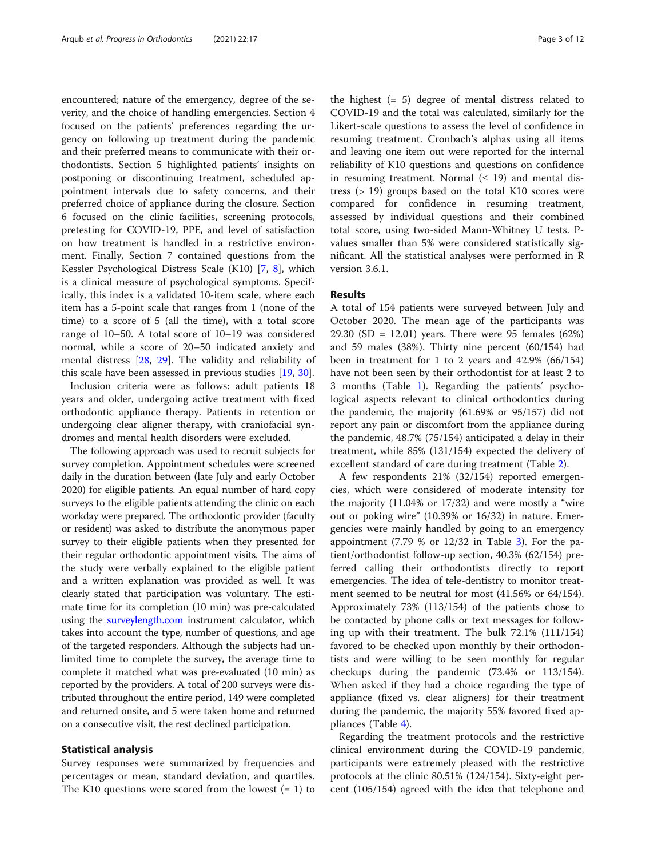encountered; nature of the emergency, degree of the severity, and the choice of handling emergencies. Section 4 focused on the patients' preferences regarding the urgency on following up treatment during the pandemic and their preferred means to communicate with their orthodontists. Section 5 highlighted patients' insights on postponing or discontinuing treatment, scheduled appointment intervals due to safety concerns, and their preferred choice of appliance during the closure. Section 6 focused on the clinic facilities, screening protocols, pretesting for COVID-19, PPE, and level of satisfaction on how treatment is handled in a restrictive environment. Finally, Section 7 contained questions from the Kessler Psychological Distress Scale (K10) [\[7](#page-10-0), [8\]](#page-10-0), which is a clinical measure of psychological symptoms. Specifically, this index is a validated 10-item scale, where each item has a 5-point scale that ranges from 1 (none of the time) to a score of 5 (all the time), with a total score range of 10–50. A total score of 10–19 was considered normal, while a score of 20–50 indicated anxiety and mental distress [[28,](#page-11-0) [29\]](#page-11-0). The validity and reliability of this scale have been assessed in previous studies [[19,](#page-10-0) [30\]](#page-11-0).

Inclusion criteria were as follows: adult patients 18 years and older, undergoing active treatment with fixed orthodontic appliance therapy. Patients in retention or undergoing clear aligner therapy, with craniofacial syndromes and mental health disorders were excluded.

The following approach was used to recruit subjects for survey completion. Appointment schedules were screened daily in the duration between (late July and early October 2020) for eligible patients. An equal number of hard copy surveys to the eligible patients attending the clinic on each workday were prepared. The orthodontic provider (faculty or resident) was asked to distribute the anonymous paper survey to their eligible patients when they presented for their regular orthodontic appointment visits. The aims of the study were verbally explained to the eligible patient and a written explanation was provided as well. It was clearly stated that participation was voluntary. The estimate time for its completion (10 min) was pre-calculated using the [surveylength.com](http://surveylength.com) instrument calculator, which takes into account the type, number of questions, and age of the targeted responders. Although the subjects had unlimited time to complete the survey, the average time to complete it matched what was pre-evaluated (10 min) as reported by the providers. A total of 200 surveys were distributed throughout the entire period, 149 were completed and returned onsite, and 5 were taken home and returned on a consecutive visit, the rest declined participation.

# Statistical analysis

Survey responses were summarized by frequencies and percentages or mean, standard deviation, and quartiles. The K10 questions were scored from the lowest  $(= 1)$  to

the highest (= 5) degree of mental distress related to COVID-19 and the total was calculated, similarly for the Likert-scale questions to assess the level of confidence in resuming treatment. Cronbach's alphas using all items and leaving one item out were reported for the internal reliability of K10 questions and questions on confidence in resuming treatment. Normal  $(≤ 19)$  and mental distress (> 19) groups based on the total K10 scores were compared for confidence in resuming treatment, assessed by individual questions and their combined total score, using two-sided Mann-Whitney U tests. Pvalues smaller than 5% were considered statistically significant. All the statistical analyses were performed in R version 3.6.1.

## Results

A total of 154 patients were surveyed between July and October 2020. The mean age of the participants was 29.30 (SD = 12.01) years. There were 95 females (62%) and 59 males (38%). Thirty nine percent (60/154) had been in treatment for 1 to 2 years and 42.9% (66/154) have not been seen by their orthodontist for at least 2 to 3 months (Table [1\)](#page-3-0). Regarding the patients' psychological aspects relevant to clinical orthodontics during the pandemic, the majority (61.69% or 95/157) did not report any pain or discomfort from the appliance during the pandemic, 48.7% (75/154) anticipated a delay in their treatment, while 85% (131/154) expected the delivery of excellent standard of care during treatment (Table [2](#page-3-0)).

A few respondents 21% (32/154) reported emergencies, which were considered of moderate intensity for the majority (11.04% or 17/32) and were mostly a "wire out or poking wire" (10.39% or 16/32) in nature. Emergencies were mainly handled by going to an emergency appointment  $(7.79 % or 12/32 in Table 3)$  $(7.79 % or 12/32 in Table 3)$ . For the patient/orthodontist follow-up section, 40.3% (62/154) preferred calling their orthodontists directly to report emergencies. The idea of tele-dentistry to monitor treatment seemed to be neutral for most (41.56% or 64/154). Approximately 73% (113/154) of the patients chose to be contacted by phone calls or text messages for following up with their treatment. The bulk 72.1% (111/154) favored to be checked upon monthly by their orthodontists and were willing to be seen monthly for regular checkups during the pandemic (73.4% or 113/154). When asked if they had a choice regarding the type of appliance (fixed vs. clear aligners) for their treatment during the pandemic, the majority 55% favored fixed appliances (Table [4](#page-5-0)).

Regarding the treatment protocols and the restrictive clinical environment during the COVID-19 pandemic, participants were extremely pleased with the restrictive protocols at the clinic 80.51% (124/154). Sixty-eight percent (105/154) agreed with the idea that telephone and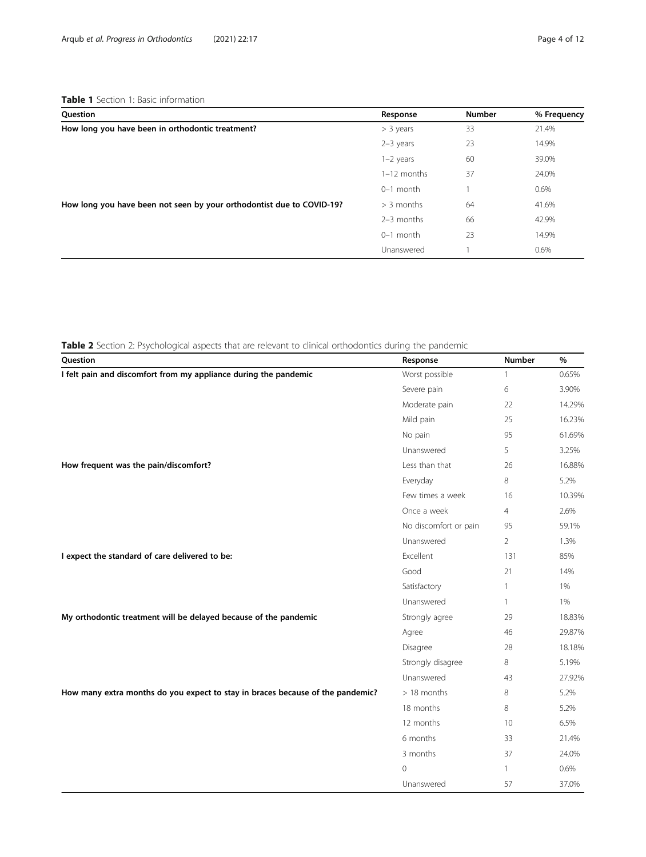<span id="page-3-0"></span>

| Question                                                              | Response      | <b>Number</b> | % Frequency |
|-----------------------------------------------------------------------|---------------|---------------|-------------|
| How long you have been in orthodontic treatment?                      | $>$ 3 years   | 33            | 21.4%       |
|                                                                       | $2-3$ years   | 23            | 14.9%       |
|                                                                       | $1-2$ years   | 60            | 39.0%       |
|                                                                       | $1-12$ months | 37            | 24.0%       |
|                                                                       | $0-1$ month   |               | 0.6%        |
| How long you have been not seen by your orthodontist due to COVID-19? | $> 3$ months  | 64            | 41.6%       |
|                                                                       | 2-3 months    | 66            | 42.9%       |
|                                                                       | $0-1$ month   | 23            | 14.9%       |
|                                                                       | Unanswered    |               | 0.6%        |

Table 2 Section 2: Psychological aspects that are relevant to clinical orthodontics during the pandemic

| Question                                                                       | Response              | <b>Number</b>  | $\%$   |
|--------------------------------------------------------------------------------|-----------------------|----------------|--------|
| I felt pain and discomfort from my appliance during the pandemic               | Worst possible        | 1              | 0.65%  |
|                                                                                | Severe pain           | 6              | 3.90%  |
|                                                                                | Moderate pain         | 22             | 14.29% |
|                                                                                | Mild pain             | 25             | 16.23% |
|                                                                                | No pain               | 95             | 61.69% |
|                                                                                | Unanswered            | 5              | 3.25%  |
| How frequent was the pain/discomfort?                                          | Less than that        | 26             | 16.88% |
|                                                                                | Everyday              | 8              | 5.2%   |
|                                                                                | Few times a week      | 16             | 10.39% |
|                                                                                | Once a week           | $\overline{4}$ | 2.6%   |
|                                                                                | No discomfort or pain | 95             | 59.1%  |
|                                                                                | Unanswered            | $\overline{2}$ | 1.3%   |
| I expect the standard of care delivered to be:                                 | Excellent             | 131            | 85%    |
|                                                                                | Good                  | 21             | 14%    |
|                                                                                | Satisfactory          | $\mathbf{1}$   | 1%     |
|                                                                                | Unanswered            | $\mathbf{1}$   | 1%     |
| My orthodontic treatment will be delayed because of the pandemic               | Strongly agree        | 29             | 18.83% |
|                                                                                | Agree                 | 46             | 29.87% |
|                                                                                | Disagree              | 28             | 18.18% |
|                                                                                | Strongly disagree     | 8              | 5.19%  |
|                                                                                | Unanswered            | 43             | 27.92% |
| How many extra months do you expect to stay in braces because of the pandemic? | $>18$ months          | 8              | 5.2%   |
|                                                                                | 18 months             | 8              | 5.2%   |
|                                                                                | 12 months             | 10             | 6.5%   |
|                                                                                | 6 months              | 33             | 21.4%  |
|                                                                                | 3 months              | 37             | 24.0%  |
|                                                                                | $\mathbf{0}$          | $\mathbf{1}$   | 0.6%   |
|                                                                                | Unanswered            | 57             | 37.0%  |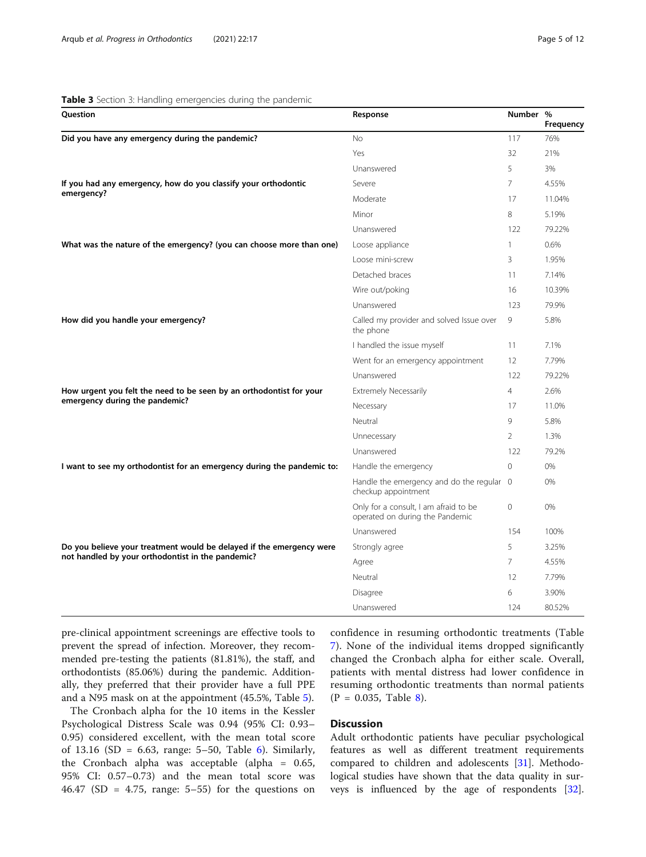### <span id="page-4-0"></span>Table 3 Section 3: Handling emergencies during the pandemic

| Question                                                                                            | Response                                                                 | Number %       | <b>Frequency</b> |
|-----------------------------------------------------------------------------------------------------|--------------------------------------------------------------------------|----------------|------------------|
| Did you have any emergency during the pandemic?                                                     | <b>No</b>                                                                | 117            | 76%              |
|                                                                                                     | Yes                                                                      | 32             | 21%              |
|                                                                                                     | Unanswered                                                               | 5              | 3%               |
| If you had any emergency, how do you classify your orthodontic                                      | Severe                                                                   | 7              | 4.55%            |
| emergency?                                                                                          | Moderate                                                                 | 17             | 11.04%           |
|                                                                                                     | Minor                                                                    | 8              | 5.19%            |
|                                                                                                     | Unanswered                                                               | 122            | 79.22%           |
| What was the nature of the emergency? (you can choose more than one)                                | Loose appliance                                                          | 1              | 0.6%             |
|                                                                                                     | Loose mini-screw                                                         | 3              | 1.95%            |
|                                                                                                     | Detached braces                                                          | 11             | 7.14%            |
|                                                                                                     | Wire out/poking                                                          | 16             | 10.39%           |
|                                                                                                     | Unanswered                                                               | 123            | 79.9%            |
| How did you handle your emergency?                                                                  | Called my provider and solved Issue over<br>the phone                    | 9              | 5.8%             |
|                                                                                                     | I handled the issue myself                                               | 11             | 7.1%             |
|                                                                                                     | Went for an emergency appointment                                        | 12             | 7.79%            |
|                                                                                                     | Unanswered                                                               | 122            | 79.22%           |
| How urgent you felt the need to be seen by an orthodontist for your<br><b>Extremely Necessarily</b> |                                                                          | $\overline{4}$ | 2.6%             |
| emergency during the pandemic?                                                                      | Necessary                                                                | 17             | 11.0%            |
|                                                                                                     | Neutral                                                                  | 9              | 5.8%             |
|                                                                                                     | Unnecessary                                                              | $\overline{2}$ | 1.3%             |
|                                                                                                     | Unanswered                                                               | 122            | 79.2%            |
| I want to see my orthodontist for an emergency during the pandemic to:                              | Handle the emergency                                                     | $\mathbf{0}$   | 0%               |
|                                                                                                     | Handle the emergency and do the regular 0<br>checkup appointment         |                | 0%               |
|                                                                                                     | Only for a consult, I am afraid to be<br>operated on during the Pandemic | 0              | 0%               |
|                                                                                                     | Unanswered                                                               | 154            | 100%             |
| Do you believe your treatment would be delayed if the emergency were                                | Strongly agree                                                           | 5              | 3.25%            |
| not handled by your orthodontist in the pandemic?                                                   | Agree                                                                    | 7              | 4.55%            |
|                                                                                                     | Neutral                                                                  | 12             | 7.79%            |
|                                                                                                     | Disagree                                                                 | 6              | 3.90%            |
|                                                                                                     | Unanswered                                                               | 124            | 80.52%           |

pre-clinical appointment screenings are effective tools to prevent the spread of infection. Moreover, they recommended pre-testing the patients (81.81%), the staff, and orthodontists (85.06%) during the pandemic. Additionally, they preferred that their provider have a full PPE and a N95 mask on at the appointment (45.5%, Table [5](#page-6-0)).

The Cronbach alpha for the 10 items in the Kessler Psychological Distress Scale was 0.94 (95% CI: 0.93– 0.95) considered excellent, with the mean total score of 13.16 (SD = 6.63, range:  $5-50$ , Table [6\)](#page-6-0). Similarly, the Cronbach alpha was acceptable (alpha = 0.65, 95% CI: 0.57–0.73) and the mean total score was 46.47 (SD = 4.75, range:  $5-55$ ) for the questions on confidence in resuming orthodontic treatments (Table [7\)](#page-7-0). None of the individual items dropped significantly changed the Cronbach alpha for either scale. Overall, patients with mental distress had lower confidence in resuming orthodontic treatments than normal patients  $(P = 0.035,$  Table [8](#page-7-0)).

# **Discussion**

Adult orthodontic patients have peculiar psychological features as well as different treatment requirements compared to children and adolescents [\[31](#page-11-0)]. Methodological studies have shown that the data quality in surveys is influenced by the age of respondents [\[32](#page-11-0)].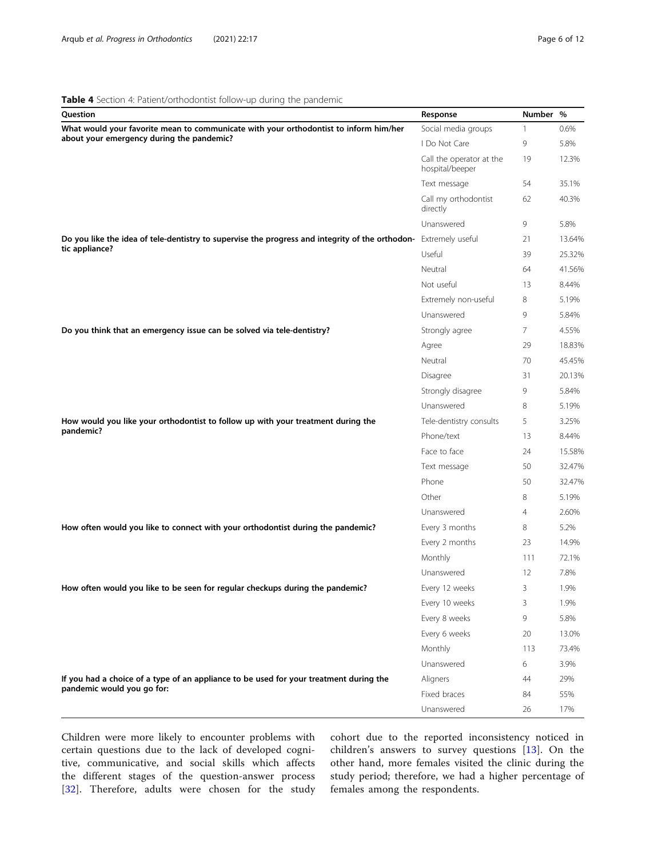# <span id="page-5-0"></span>Table 4 Section 4: Patient/orthodontist follow-up during the pandemic

| Question                                                                                                         | Response                                    | Number % |        |
|------------------------------------------------------------------------------------------------------------------|---------------------------------------------|----------|--------|
| What would your favorite mean to communicate with your orthodontist to inform him/her                            | Social media groups                         | 1        | 0.6%   |
| about your emergency during the pandemic?                                                                        | I Do Not Care                               | 9        | 5.8%   |
|                                                                                                                  | Call the operator at the<br>hospital/beeper | 19       | 12.3%  |
|                                                                                                                  | Text message                                | 54       | 35.1%  |
|                                                                                                                  | Call my orthodontist<br>directly            | 62       | 40.3%  |
|                                                                                                                  | Unanswered                                  | 9        | 5.8%   |
| Do you like the idea of tele-dentistry to supervise the progress and integrity of the orthodon- Extremely useful |                                             | 21       | 13.64% |
| tic appliance?                                                                                                   | Useful                                      | 39       | 25.32% |
|                                                                                                                  | Neutral                                     | 64       | 41.56% |
|                                                                                                                  | Not useful                                  | 13       | 8.44%  |
|                                                                                                                  | Extremely non-useful                        | 8        | 5.19%  |
|                                                                                                                  | Unanswered                                  | 9        | 5.84%  |
| Do you think that an emergency issue can be solved via tele-dentistry?                                           | Strongly agree                              | 7        | 4.55%  |
|                                                                                                                  | Agree                                       | 29       | 18.83% |
|                                                                                                                  | Neutral                                     | 70       | 45.45% |
|                                                                                                                  | Disagree                                    | 31       | 20.13% |
|                                                                                                                  | Strongly disagree                           | 9        | 5.84%  |
|                                                                                                                  | Unanswered                                  | 8        | 5.19%  |
| How would you like your orthodontist to follow up with your treatment during the                                 | Tele-dentistry consults                     | 5        | 3.25%  |
| pandemic?                                                                                                        | Phone/text                                  | 13       | 8.44%  |
|                                                                                                                  | Face to face                                | 24       | 15.58% |
|                                                                                                                  | Text message                                | 50       | 32.47% |
|                                                                                                                  | Phone                                       | 50       | 32.47% |
|                                                                                                                  | Other                                       | 8        | 5.19%  |
|                                                                                                                  | Unanswered                                  | 4        | 2.60%  |
| How often would you like to connect with your orthodontist during the pandemic?                                  | Every 3 months                              | 8        | 5.2%   |
|                                                                                                                  | Every 2 months                              | 23       | 14.9%  |
|                                                                                                                  | Monthly                                     | 111      | 72.1%  |
|                                                                                                                  | Unanswered                                  | 12       | 7.8%   |
| How often would you like to be seen for regular checkups during the pandemic?                                    | Every 12 weeks                              | 3        | 1.9%   |
|                                                                                                                  | Every 10 weeks                              | 3        | 1.9%   |
|                                                                                                                  | Every 8 weeks                               | 9        | 5.8%   |
|                                                                                                                  | Every 6 weeks                               | 20       | 13.0%  |
|                                                                                                                  | Monthly                                     | 113      | 73.4%  |
|                                                                                                                  | Unanswered                                  | 6        | 3.9%   |
| If you had a choice of a type of an appliance to be used for your treatment during the                           | Aligners                                    | 44       | 29%    |
| pandemic would you go for:                                                                                       | Fixed braces                                | 84       | 55%    |
|                                                                                                                  | Unanswered                                  | 26       | 17%    |

Children were more likely to encounter problems with certain questions due to the lack of developed cognitive, communicative, and social skills which affects the different stages of the question-answer process [[32\]](#page-11-0). Therefore, adults were chosen for the study cohort due to the reported inconsistency noticed in children's answers to survey questions [[13](#page-10-0)]. On the other hand, more females visited the clinic during the study period; therefore, we had a higher percentage of females among the respondents.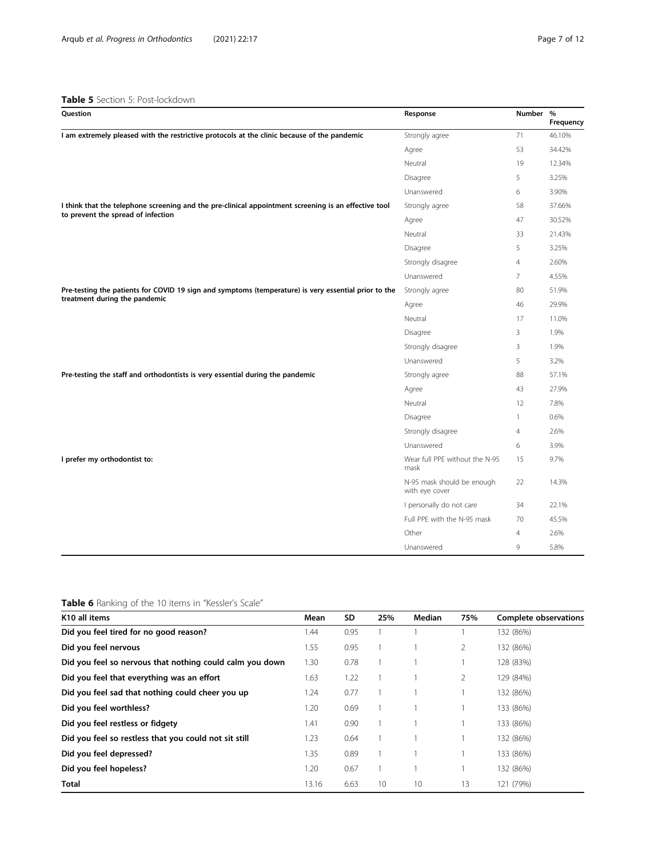# <span id="page-6-0"></span>Table 5 Section 5: Post-lockdown

| Question                                                                                             | Response                                     | Number %       | Frequency |
|------------------------------------------------------------------------------------------------------|----------------------------------------------|----------------|-----------|
| I am extremely pleased with the restrictive protocols at the clinic because of the pandemic          | Strongly agree                               | 71             | 46.10%    |
|                                                                                                      | Agree                                        | 53             | 34.42%    |
|                                                                                                      | Neutral                                      | 19             | 12.34%    |
|                                                                                                      | Disagree                                     | 5              | 3.25%     |
|                                                                                                      | Unanswered                                   | 6              | 3.90%     |
| I think that the telephone screening and the pre-clinical appointment screening is an effective tool | Strongly agree                               | 58             | 37.66%    |
| to prevent the spread of infection                                                                   | Agree                                        | 47             | 30.52%    |
|                                                                                                      | Neutral                                      | 33             | 21.43%    |
|                                                                                                      | Disagree                                     | 5              | 3.25%     |
|                                                                                                      | Strongly disagree                            | $\overline{4}$ | 2.60%     |
|                                                                                                      | Unanswered                                   | $\overline{7}$ | 4.55%     |
| Pre-testing the patients for COVID 19 sign and symptoms (temperature) is very essential prior to the | Strongly agree                               | 80             | 51.9%     |
| treatment during the pandemic                                                                        | Agree                                        | 46             | 29.9%     |
|                                                                                                      | Neutral                                      | 17             | 11.0%     |
|                                                                                                      | Disagree                                     | 3              | 1.9%      |
|                                                                                                      | Strongly disagree                            | 3              | 1.9%      |
|                                                                                                      | Unanswered                                   | 5              | 3.2%      |
| Pre-testing the staff and orthodontists is very essential during the pandemic                        | Strongly agree                               | 88             | 57.1%     |
|                                                                                                      | Agree                                        | 43             | 27.9%     |
|                                                                                                      | Neutral                                      | 12             | 7.8%      |
|                                                                                                      | Disagree                                     | $\mathbf{1}$   | 0.6%      |
|                                                                                                      | Strongly disagree                            | $\overline{4}$ | 2.6%      |
|                                                                                                      | Unanswered                                   | 6              | 3.9%      |
| I prefer my orthodontist to:                                                                         | Wear full PPE without the N-95<br>mask       | 15             | 9.7%      |
|                                                                                                      | N-95 mask should be enough<br>with eye cover | 22             | 14.3%     |
|                                                                                                      | I personally do not care                     | 34             | 22.1%     |
|                                                                                                      | Full PPE with the N-95 mask                  | 70             | 45.5%     |
|                                                                                                      | Other                                        | $\overline{4}$ | 2.6%      |
|                                                                                                      | Unanswered                                   | 9              | 5.8%      |

# Table 6 Ranking of the 10 items in "Kessler's Scale"

| K <sub>10</sub> all items                                | Mean  | SD.  | 25% | Median | 75% | Complete observations |
|----------------------------------------------------------|-------|------|-----|--------|-----|-----------------------|
| Did you feel tired for no good reason?                   | 1.44  | 0.95 |     |        |     | 132 (86%)             |
| Did you feel nervous                                     | 1.55  | 0.95 |     |        | 2   | 132 (86%)             |
| Did you feel so nervous that nothing could calm you down | 1.30  | 0.78 |     |        |     | 128 (83%)             |
| Did you feel that everything was an effort               | 1.63  | 1.22 |     |        | 2   | 129 (84%)             |
| Did you feel sad that nothing could cheer you up         | 1.24  | 0.77 |     |        |     | 132 (86%)             |
| Did you feel worthless?                                  | 1.20  | 0.69 |     |        |     | 133 (86%)             |
| Did you feel restless or fidgety                         | 1.41  | 0.90 |     |        |     | 133 (86%)             |
| Did you feel so restless that you could not sit still    | 1.23  | 0.64 |     |        |     | 132 (86%)             |
| Did you feel depressed?                                  | 1.35  | 0.89 |     |        |     | 133 (86%)             |
| Did you feel hopeless?                                   | 1.20  | 0.67 |     |        |     | 132 (86%)             |
| Total                                                    | 13.16 | 6.63 | 10  | 10     | 13  | 121 (79%)             |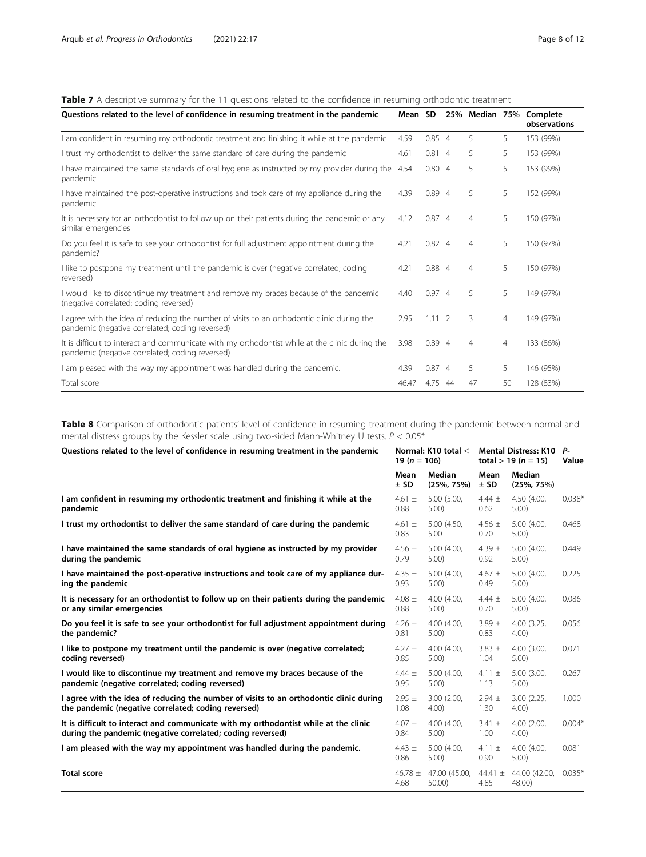# <span id="page-7-0"></span>Table 7 A descriptive summary for the 11 questions related to the confidence in resuming orthodontic treatment

| Questions related to the level of confidence in resuming treatment in the pandemic                                                                 | Mean SD |                |                |                | 25% Median 75% Complete<br>observations |
|----------------------------------------------------------------------------------------------------------------------------------------------------|---------|----------------|----------------|----------------|-----------------------------------------|
| I am confident in resuming my orthodontic treatment and finishing it while at the pandemic                                                         | 4.59    | 0.854          | 5.             | 5              | 153 (99%)                               |
| I trust my orthodontist to deliver the same standard of care during the pandemic                                                                   | 4.61    | 0.814          | 5              | 5              | 153 (99%)                               |
| have maintained the same standards of oral hygiene as instructed by my provider during the<br>pandemic                                             | 4.54    | 0.804          | 5              | 5              | 153 (99%)                               |
| I have maintained the post-operative instructions and took care of my appliance during the<br>pandemic                                             | 4.39    | 0.894          | 5              | 5              | 152 (99%)                               |
| It is necessary for an orthodontist to follow up on their patients during the pandemic or any<br>similar emergencies                               | 4.12    | 0.874          | $\overline{4}$ | 5              | 150 (97%)                               |
| Do you feel it is safe to see your orthodontist for full adjustment appointment during the<br>pandemic?                                            | 4.21    | $0.82$ 4       | $\overline{4}$ | 5              | 150 (97%)                               |
| I like to postpone my treatment until the pandemic is over (negative correlated; coding<br>reversed)                                               | 4.21    | 0.884          | $\overline{4}$ | 5              | 150 (97%)                               |
| I would like to discontinue my treatment and remove my braces because of the pandemic<br>(negative correlated; coding reversed)                    | 4.40    | 0.974          | 5              | 5              | 149 (97%)                               |
| I agree with the idea of reducing the number of visits to an orthodontic clinic during the<br>pandemic (negative correlated; coding reversed)      | 2.95    | $1.11 \quad 2$ | 3              | 4              | 149 (97%)                               |
| It is difficult to interact and communicate with my orthodontist while at the clinic during the<br>pandemic (negative correlated; coding reversed) | 3.98    | 0.894          | $\overline{4}$ | $\overline{4}$ | 133 (86%)                               |
| I am pleased with the way my appointment was handled during the pandemic.                                                                          | 4.39    | 0.874          | 5              | 5              | 146 (95%)                               |
| Total score                                                                                                                                        | 46.47   | 4.75 44        | 47             | 50             | 128 (83%)                               |

Table 8 Comparison of orthodontic patients' level of confidence in resuming treatment during the pandemic between normal and mental distress groups by the Kessler scale using two-sided Mann-Whitney U tests.  $P < 0.05^*$ 

| Questions related to the level of confidence in resuming treatment in the pandemic     |                     | Normal: K10 total <      | <b>Mental Distress: K10</b> |                          | Р-       |
|----------------------------------------------------------------------------------------|---------------------|--------------------------|-----------------------------|--------------------------|----------|
|                                                                                        |                     | 19 ( $n = 106$ )         | total > 19 ( $n = 15$ )     |                          | Value    |
|                                                                                        | Mean<br>± SD        | Median<br>$(25\%, 75\%)$ | Mean<br>$±$ SD              | Median<br>$(25\%, 75\%)$ |          |
| I am confident in resuming my orthodontic treatment and finishing it while at the      | 4.61 $\pm$          | 5.00 (5.00,              | $4.44 \pm$                  | 4.50 (4.00,              | $0.038*$ |
| pandemic                                                                               | 0.88                | 5.00                     | 0.62                        | 5.00)                    |          |
| I trust my orthodontist to deliver the same standard of care during the pandemic       | 4.61 $\pm$<br>0.83  | 5.00 (4.50,<br>5.00      | 4.56 $\pm$<br>0.70          | 5.00 (4.00,<br>5.00)     | 0.468    |
| I have maintained the same standards of oral hygiene as instructed by my provider      | 4.56 $\pm$          | 5.00 (4.00,              | 4.39 $\pm$                  | 5.00 (4.00,              | 0.449    |
| during the pandemic                                                                    | 0.79                | 5.00)                    | 0.92                        | 5.00)                    |          |
| I have maintained the post-operative instructions and took care of my appliance dur-   | 4.35 $\pm$          | 5.00 (4.00,              | $4.67 \pm$                  | 5.00 (4.00,              | 0.225    |
| ing the pandemic                                                                       | 0.93                | 5.00)                    | 0.49                        | 5.00)                    |          |
| It is necessary for an orthodontist to follow up on their patients during the pandemic | 4.08 $\pm$          | 4.00 (4.00,              | $4.44 \pm$                  | 5.00 (4.00,              | 0.086    |
| or any similar emergencies                                                             | 0.88                | 5.00)                    | 0.70                        | 5.00)                    |          |
| Do you feel it is safe to see your orthodontist for full adjustment appointment during | 4.26 $\pm$          | 4.00 (4.00.              | $3.89 \pm$                  | 4.00(3.25.               | 0.056    |
| the pandemic?                                                                          | 0.81                | 5.00)                    | 0.83                        | $4.00$ )                 |          |
| I like to postpone my treatment until the pandemic is over (negative correlated;       | 4.27 $\pm$          | 4.00 (4.00,              | $3.83 \pm$                  | 4.00 (3.00.              | 0.071    |
| coding reversed)                                                                       | 0.85                | 5.00                     | 1.04                        | 5.00)                    |          |
| I would like to discontinue my treatment and remove my braces because of the           | $4.44 \pm$          | 5.00 (4.00,              | 4.11 $\pm$                  | 5.00 (3.00,              | 0.267    |
| pandemic (negative correlated; coding reversed)                                        | 0.95                | 5.00                     | 1.13                        | 5.00)                    |          |
| I agree with the idea of reducing the number of visits to an orthodontic clinic during | $2.95 \pm$          | 3.00 (2.00.              | $2.94 \pm$                  | 3.00 (2.25.              | 1.000    |
| the pandemic (negative correlated; coding reversed)                                    | 1.08                | 4.00)                    | 1.30                        | 4.00)                    |          |
| It is difficult to interact and communicate with my orthodontist while at the clinic   | $4.07 \pm$          | 4.00 (4.00,              | $3.41 \pm$                  | 4.00(2.00,               | $0.004*$ |
| during the pandemic (negative correlated; coding reversed)                             | 0.84                | 5.00)                    | 1.00                        | 4.00                     |          |
| I am pleased with the way my appointment was handled during the pandemic.              | 4.43 $\pm$<br>0.86  | 5.00 (4.00,<br>5.00)     | 4.11 $\pm$<br>0.90          | 4.00 (4.00,<br>5.00)     | 0.081    |
| <b>Total score</b>                                                                     | 46.78 $\pm$<br>4.68 | 47.00 (45.00,<br>50.00)  | 44.41 $\pm$<br>4.85         | 44.00 (42.00,<br>48.00)  | $0.035*$ |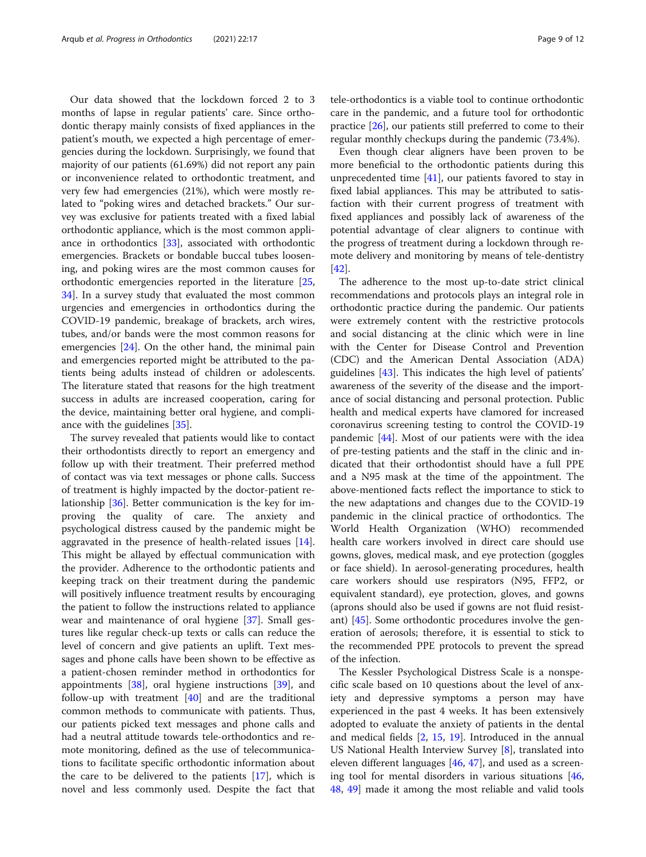Our data showed that the lockdown forced 2 to 3 months of lapse in regular patients' care. Since orthodontic therapy mainly consists of fixed appliances in the patient's mouth, we expected a high percentage of emergencies during the lockdown. Surprisingly, we found that majority of our patients (61.69%) did not report any pain or inconvenience related to orthodontic treatment, and very few had emergencies (21%), which were mostly related to "poking wires and detached brackets." Our survey was exclusive for patients treated with a fixed labial orthodontic appliance, which is the most common appliance in orthodontics [\[33](#page-11-0)], associated with orthodontic emergencies. Brackets or bondable buccal tubes loosening, and poking wires are the most common causes for orthodontic emergencies reported in the literature [[25](#page-10-0), [34\]](#page-11-0). In a survey study that evaluated the most common urgencies and emergencies in orthodontics during the COVID-19 pandemic, breakage of brackets, arch wires, tubes, and/or bands were the most common reasons for emergencies [[24\]](#page-10-0). On the other hand, the minimal pain and emergencies reported might be attributed to the patients being adults instead of children or adolescents. The literature stated that reasons for the high treatment success in adults are increased cooperation, caring for the device, maintaining better oral hygiene, and compliance with the guidelines [[35\]](#page-11-0).

The survey revealed that patients would like to contact their orthodontists directly to report an emergency and follow up with their treatment. Their preferred method of contact was via text messages or phone calls. Success of treatment is highly impacted by the doctor-patient relationship [\[36](#page-11-0)]. Better communication is the key for improving the quality of care. The anxiety and psychological distress caused by the pandemic might be aggravated in the presence of health-related issues [\[14](#page-10-0)]. This might be allayed by effectual communication with the provider. Adherence to the orthodontic patients and keeping track on their treatment during the pandemic will positively influence treatment results by encouraging the patient to follow the instructions related to appliance wear and maintenance of oral hygiene [[37](#page-11-0)]. Small gestures like regular check-up texts or calls can reduce the level of concern and give patients an uplift. Text messages and phone calls have been shown to be effective as a patient-chosen reminder method in orthodontics for appointments [\[38\]](#page-11-0), oral hygiene instructions [\[39](#page-11-0)], and follow-up with treatment  $[40]$  $[40]$  and are the traditional common methods to communicate with patients. Thus, our patients picked text messages and phone calls and had a neutral attitude towards tele-orthodontics and remote monitoring, defined as the use of telecommunications to facilitate specific orthodontic information about the care to be delivered to the patients  $[17]$  $[17]$ , which is novel and less commonly used. Despite the fact that

tele-orthodontics is a viable tool to continue orthodontic care in the pandemic, and a future tool for orthodontic practice [\[26\]](#page-10-0), our patients still preferred to come to their regular monthly checkups during the pandemic (73.4%).

Even though clear aligners have been proven to be more beneficial to the orthodontic patients during this unprecedented time [[41\]](#page-11-0), our patients favored to stay in fixed labial appliances. This may be attributed to satisfaction with their current progress of treatment with fixed appliances and possibly lack of awareness of the potential advantage of clear aligners to continue with the progress of treatment during a lockdown through remote delivery and monitoring by means of tele-dentistry [[42\]](#page-11-0).

The adherence to the most up-to-date strict clinical recommendations and protocols plays an integral role in orthodontic practice during the pandemic. Our patients were extremely content with the restrictive protocols and social distancing at the clinic which were in line with the Center for Disease Control and Prevention (CDC) and the American Dental Association (ADA) guidelines [\[43](#page-11-0)]. This indicates the high level of patients' awareness of the severity of the disease and the importance of social distancing and personal protection. Public health and medical experts have clamored for increased coronavirus screening testing to control the COVID-19 pandemic [\[44](#page-11-0)]. Most of our patients were with the idea of pre-testing patients and the staff in the clinic and indicated that their orthodontist should have a full PPE and a N95 mask at the time of the appointment. The above-mentioned facts reflect the importance to stick to the new adaptations and changes due to the COVID-19 pandemic in the clinical practice of orthodontics. The World Health Organization (WHO) recommended health care workers involved in direct care should use gowns, gloves, medical mask, and eye protection (goggles or face shield). In aerosol-generating procedures, health care workers should use respirators (N95, FFP2, or equivalent standard), eye protection, gloves, and gowns (aprons should also be used if gowns are not fluid resistant) [\[45](#page-11-0)]. Some orthodontic procedures involve the generation of aerosols; therefore, it is essential to stick to the recommended PPE protocols to prevent the spread of the infection.

The Kessler Psychological Distress Scale is a nonspecific scale based on 10 questions about the level of anxiety and depressive symptoms a person may have experienced in the past 4 weeks. It has been extensively adopted to evaluate the anxiety of patients in the dental and medical fields [[2,](#page-10-0) [15](#page-10-0), [19](#page-10-0)]. Introduced in the annual US National Health Interview Survey [\[8\]](#page-10-0), translated into eleven different languages [\[46,](#page-11-0) [47\]](#page-11-0), and used as a screening tool for mental disorders in various situations [[46](#page-11-0), [48,](#page-11-0) [49](#page-11-0)] made it among the most reliable and valid tools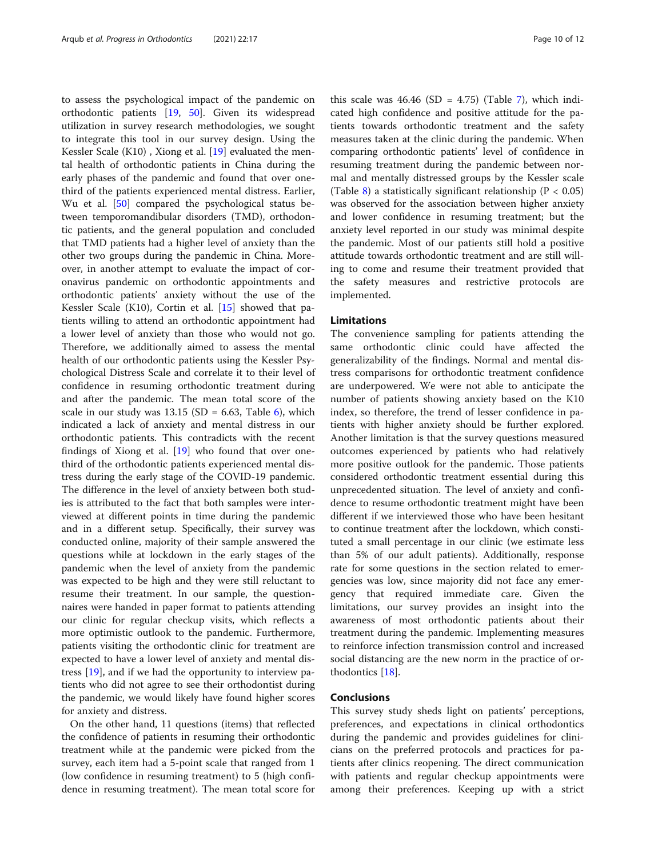to assess the psychological impact of the pandemic on orthodontic patients [[19,](#page-10-0) [50\]](#page-11-0). Given its widespread utilization in survey research methodologies, we sought to integrate this tool in our survey design. Using the Kessler Scale (K10) , Xiong et al. [\[19\]](#page-10-0) evaluated the mental health of orthodontic patients in China during the early phases of the pandemic and found that over onethird of the patients experienced mental distress. Earlier, Wu et al. [\[50](#page-11-0)] compared the psychological status between temporomandibular disorders (TMD), orthodontic patients, and the general population and concluded that TMD patients had a higher level of anxiety than the other two groups during the pandemic in China. Moreover, in another attempt to evaluate the impact of coronavirus pandemic on orthodontic appointments and orthodontic patients' anxiety without the use of the Kessler Scale (K10), Cortin et al. [\[15](#page-10-0)] showed that patients willing to attend an orthodontic appointment had a lower level of anxiety than those who would not go. Therefore, we additionally aimed to assess the mental health of our orthodontic patients using the Kessler Psychological Distress Scale and correlate it to their level of confidence in resuming orthodontic treatment during and after the pandemic. The mean total score of the scale in our study was  $13.15$  (SD = 6.63, Table [6\)](#page-6-0), which indicated a lack of anxiety and mental distress in our orthodontic patients. This contradicts with the recent findings of Xiong et al. [[19\]](#page-10-0) who found that over onethird of the orthodontic patients experienced mental distress during the early stage of the COVID-19 pandemic. The difference in the level of anxiety between both studies is attributed to the fact that both samples were interviewed at different points in time during the pandemic and in a different setup. Specifically, their survey was conducted online, majority of their sample answered the questions while at lockdown in the early stages of the pandemic when the level of anxiety from the pandemic was expected to be high and they were still reluctant to resume their treatment. In our sample, the questionnaires were handed in paper format to patients attending our clinic for regular checkup visits, which reflects a more optimistic outlook to the pandemic. Furthermore, patients visiting the orthodontic clinic for treatment are expected to have a lower level of anxiety and mental distress [[19\]](#page-10-0), and if we had the opportunity to interview patients who did not agree to see their orthodontist during the pandemic, we would likely have found higher scores for anxiety and distress.

On the other hand, 11 questions (items) that reflected the confidence of patients in resuming their orthodontic treatment while at the pandemic were picked from the survey, each item had a 5-point scale that ranged from 1 (low confidence in resuming treatment) to 5 (high confidence in resuming treatment). The mean total score for

this scale was  $46.46$  (SD =  $4.75$  $4.75$  $4.75$ ) (Table 7), which indicated high confidence and positive attitude for the patients towards orthodontic treatment and the safety measures taken at the clinic during the pandemic. When comparing orthodontic patients' level of confidence in resuming treatment during the pandemic between normal and mentally distressed groups by the Kessler scale (Table [8](#page-7-0)) a statistically significant relationship ( $P < 0.05$ ) was observed for the association between higher anxiety and lower confidence in resuming treatment; but the anxiety level reported in our study was minimal despite the pandemic. Most of our patients still hold a positive attitude towards orthodontic treatment and are still willing to come and resume their treatment provided that the safety measures and restrictive protocols are implemented.

# Limitations

The convenience sampling for patients attending the same orthodontic clinic could have affected the generalizability of the findings. Normal and mental distress comparisons for orthodontic treatment confidence are underpowered. We were not able to anticipate the number of patients showing anxiety based on the K10 index, so therefore, the trend of lesser confidence in patients with higher anxiety should be further explored. Another limitation is that the survey questions measured outcomes experienced by patients who had relatively more positive outlook for the pandemic. Those patients considered orthodontic treatment essential during this unprecedented situation. The level of anxiety and confidence to resume orthodontic treatment might have been different if we interviewed those who have been hesitant to continue treatment after the lockdown, which constituted a small percentage in our clinic (we estimate less than 5% of our adult patients). Additionally, response rate for some questions in the section related to emergencies was low, since majority did not face any emergency that required immediate care. Given the limitations, our survey provides an insight into the awareness of most orthodontic patients about their treatment during the pandemic. Implementing measures to reinforce infection transmission control and increased social distancing are the new norm in the practice of orthodontics [\[18\]](#page-10-0).

# Conclusions

This survey study sheds light on patients' perceptions, preferences, and expectations in clinical orthodontics during the pandemic and provides guidelines for clinicians on the preferred protocols and practices for patients after clinics reopening. The direct communication with patients and regular checkup appointments were among their preferences. Keeping up with a strict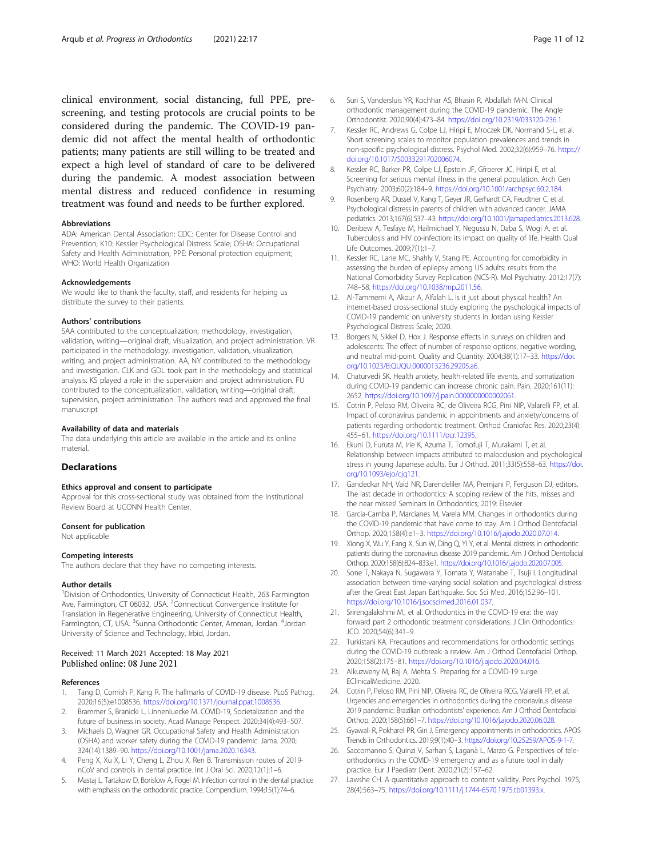<span id="page-10-0"></span>clinical environment, social distancing, full PPE, prescreening, and testing protocols are crucial points to be considered during the pandemic. The COVID-19 pandemic did not affect the mental health of orthodontic patients; many patients are still willing to be treated and expect a high level of standard of care to be delivered during the pandemic. A modest association between mental distress and reduced confidence in resuming treatment was found and needs to be further explored.

#### **Abbreviations**

ADA: American Dental Association; CDC: Center for Disease Control and Prevention; K10: Kessler Psychological Distress Scale; OSHA: Occupational Safety and Health Administration; PPE: Personal protection equipment; WHO: World Health Organization

#### Acknowledgements

We would like to thank the faculty, staff, and residents for helping us distribute the survey to their patients.

#### Authors' contributions

SAA contributed to the conceptualization, methodology, investigation, validation, writing—original draft, visualization, and project administration. VR participated in the methodology, investigation, validation, visualization, writing, and project administration. AA, NY contributed to the methodology and investigation. CLK and GDL took part in the methodology and statistical analysis. KS played a role in the supervision and project administration. FU contributed to the conceptualization, validation, writing—original draft, supervision, project administration. The authors read and approved the final manuscript

#### Availability of data and materials

The data underlying this article are available in the article and its online material.

# **Declarations**

#### Ethics approval and consent to participate

Approval for this cross-sectional study was obtained from the Institutional Review Board at UCONN Health Center.

#### Consent for publication

Not applicable

#### Competing interests

The authors declare that they have no competing interests.

#### Author details

<sup>1</sup> Division of Orthodontics, University of Connecticut Health, 263 Farmington Ave, Farmington, CT 06032, USA. <sup>2</sup> Connecticut Convergence Institute for Translation in Regenerative Engineering, University of Connecticut Health, Farmington, CT, USA. <sup>3</sup>Sunna Orthodontic Center, Amman, Jordan. <sup>4</sup>Jordan University of Science and Technology, Irbid, Jordan.

#### Received: 11 March 2021 Accepted: 18 May 2021 Published online: 08 June 2021

#### References

- 1. Tang D, Comish P, Kang R. The hallmarks of COVID-19 disease. PLoS Pathog. 2020;16(5):e1008536. <https://doi.org/10.1371/journal.ppat.1008536>.
- 2. Brammer S, Branicki L, Linnenluecke M. COVID-19, Societalization and the future of business in society. Acad Manage Perspect. 2020;34(4):493–507.
- 3. Michaels D, Wagner GR. Occupational Safety and Health Administration (OSHA) and worker safety during the COVID-19 pandemic. Jama. 2020; 324(14):1389–90. [https://doi.org/10.1001/jama.2020.16343.](https://doi.org/10.1001/jama.2020.16343)
- 4. Peng X, Xu X, Li Y, Cheng L, Zhou X, Ren B. Transmission routes of 2019 nCoV and controls in dental practice. Int J Oral Sci. 2020;12(1):1–6.
- Mastaj L, Tartakow D, Borislow A, Fogel M. Infection control in the dental practice with emphasis on the orthodontic practice. Compendium. 1994;15(1):74–6.
- 6. Suri S, Vandersluis YR, Kochhar AS, Bhasin R, Abdallah M-N. Clinical orthodontic management during the COVID-19 pandemic. The Angle Orthodontist. 2020;90(4):473–84. [https://doi.org/10.2319/033120-236.1.](https://doi.org/10.2319/033120-236.1)
- 7. Kessler RC, Andrews G, Colpe LJ, Hiripi E, Mroczek DK, Normand S-L, et al. Short screening scales to monitor population prevalences and trends in non-specific psychological distress. Psychol Med. 2002;32(6):959–76. [https://](https://doi.org/10.1017/S0033291702006074) [doi.org/10.1017/S0033291702006074](https://doi.org/10.1017/S0033291702006074).
- 8. Kessler RC, Barker PR, Colpe LJ, Epstein JF, Gfroerer JC, Hiripi E, et al. Screening for serious mental illness in the general population. Arch Gen Psychiatry. 2003;60(2):184–9. [https://doi.org/10.1001/archpsyc.60.2.184.](https://doi.org/10.1001/archpsyc.60.2.184)
- Rosenberg AR, Dussel V, Kang T, Geyer JR, Gerhardt CA, Feudtner C, et al. Psychological distress in parents of children with advanced cancer. JAMA pediatrics. 2013;167(6):537–43. [https://doi.org/10.1001/jamapediatrics.2013.628.](https://doi.org/10.1001/jamapediatrics.2013.628)
- 10. Deribew A, Tesfaye M, Hailmichael Y, Negussu N, Daba S, Wogi A, et al. Tuberculosis and HIV co-infection: its impact on quality of life. Health Qual Life Outcomes. 2009;7(1):1–7.
- 11. Kessler RC, Lane MC, Shahly V, Stang PE. Accounting for comorbidity in assessing the burden of epilepsy among US adults: results from the National Comorbidity Survey Replication (NCS-R). Mol Psychiatry. 2012;17(7): 748–58. <https://doi.org/10.1038/mp.2011.56>.
- 12. Al-Tammemi A, Akour A, Alfalah L. Is it just about physical health? An internet-based cross-sectional study exploring the pyschological impacts of COVID-19 pandemic on university students in Jordan using Kessler Psychological Distress Scale; 2020.
- 13. Borgers N, Sikkel D, Hox J. Response effects in surveys on children and adolescents: The effect of number of response options, negative wording, and neutral mid-point. Quality and Quantity. 2004;38(1):17–33. [https://doi.](https://doi.org/10.1023/B:QUQU.0000013236.29205.a6) [org/10.1023/B:QUQU.0000013236.29205.a6.](https://doi.org/10.1023/B:QUQU.0000013236.29205.a6)
- 14. Chaturvedi SK. Health anxiety, health-related life events, and somatization during COVID-19 pandemic can increase chronic pain. Pain. 2020;161(11): 2652. [https://doi.org/10.1097/j.pain.0000000000002061.](https://doi.org/10.1097/j.pain.0000000000002061)
- 15. Cotrin P, Peloso RM, Oliveira RC, de Oliveira RCG, Pini NIP, Valarelli FP, et al. Impact of coronavirus pandemic in appointments and anxiety/concerns of patients regarding orthodontic treatment. Orthod Craniofac Res. 2020;23(4): 455–61. <https://doi.org/10.1111/ocr.12395>.
- 16. Ekuni D, Furuta M, Irie K, Azuma T, Tomofuji T, Murakami T, et al. Relationship between impacts attributed to malocclusion and psychological stress in young Japanese adults. Eur J Orthod. 2011;33(5):558–63. [https://doi.](https://doi.org/10.1093/ejo/cjq121) [org/10.1093/ejo/cjq121.](https://doi.org/10.1093/ejo/cjq121)
- 17. Gandedkar NH, Vaid NR, Darendeliler MA, Premjani P, Ferguson DJ, editors. The last decade in orthodontics: A scoping review of the hits, misses and the near misses! Seminars in Orthodontics; 2019: Elsevier.
- 18. Garcia-Camba P, Marcianes M, Varela MM. Changes in orthodontics during the COVID-19 pandemic that have come to stay. Am J Orthod Dentofacial Orthop. 2020;158(4):e1–3. <https://doi.org/10.1016/j.ajodo.2020.07.014>.
- 19. Xiong X, Wu Y, Fang X, Sun W, Ding Q, Yi Y, et al. Mental distress in orthodontic patients during the coronavirus disease 2019 pandemic. Am J Orthod Dentofacial Orthop. 2020;158(6):824–833.e1. <https://doi.org/10.1016/j.ajodo.2020.07.005>.
- 20. Sone T, Nakaya N, Sugawara Y, Tomata Y, Watanabe T, Tsuji I. Longitudinal association between time-varying social isolation and psychological distress after the Great East Japan Earthquake. Soc Sci Med. 2016;152:96–101. [https://doi.org/10.1016/j.socscimed.2016.01.037.](https://doi.org/10.1016/j.socscimed.2016.01.037)
- 21. Srirengalakshmi M., et al. Orthodontics in the COVID-19 era: the way forward part 2 orthodontic treatment considerations. J Clin Orthodontics: JCO. 2020;54(6):341–9.
- 22. Turkistani KA. Precautions and recommendations for orthodontic settings during the COVID-19 outbreak: a review. Am J Orthod Dentofacial Orthop. 2020;158(2):175–81. <https://doi.org/10.1016/j.ajodo.2020.04.016>.
- 23. Alkuzweny M, Raj A, Mehta S. Preparing for a COVID-19 surge. EClinicalMedicine. 2020.
- 24. Cotrin P, Peloso RM, Pini NIP, Oliveira RC, de Oliveira RCG, Valarelli FP, et al. Urgencies and emergencies in orthodontics during the coronavirus disease 2019 pandemic: Brazilian orthodontists' experience. Am J Orthod Dentofacial Orthop. 2020;158(5):661–7. <https://doi.org/10.1016/j.ajodo.2020.06.028>.
- 25. Gyawali R, Pokharel PR, Giri J. Emergency appointments in orthodontics. APOS Trends in Orthodontics. 2019;9(1):40–3. <https://doi.org/10.25259/APOS-9-1-7>.
- 26. Saccomanno S, Quinzi V, Sarhan S, Laganà L, Marzo G. Perspectives of teleorthodontics in the COVID-19 emergency and as a future tool in daily practice. Eur J Paediatr Dent. 2020;21(2):157–62.
- 27. Lawshe CH. A quantitative approach to content validity. Pers Psychol. 1975; 28(4):563–75. <https://doi.org/10.1111/j.1744-6570.1975.tb01393.x>.